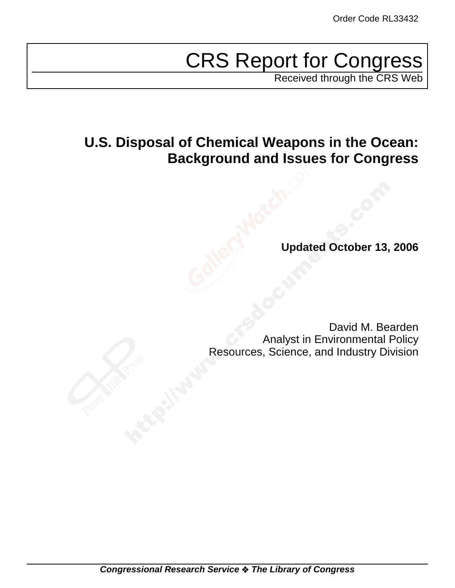# CRS Report for Congress

Received through the CRS Web

# **U.S. Disposal of Chemical Weapons in the Ocean: Background and Issues for Congress**

**Updated October 13, 2006**

David M. Bearden Analyst in Environmental Policy Resources, Science, and Industry Division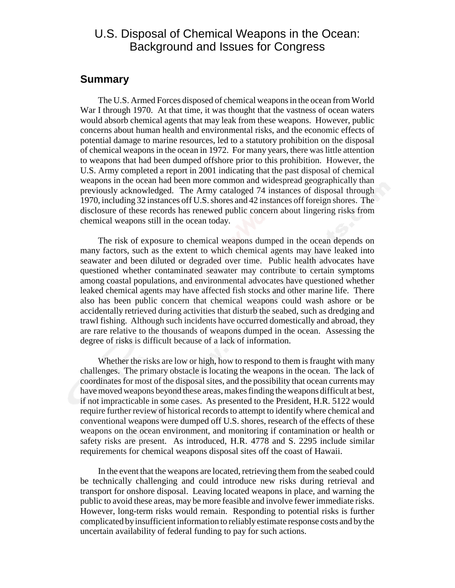# U.S. Disposal of Chemical Weapons in the Ocean: Background and Issues for Congress

# **Summary**

The U.S. Armed Forces disposed of chemical weapons in the ocean from World War I through 1970. At that time, it was thought that the vastness of ocean waters would absorb chemical agents that may leak from these weapons. However, public concerns about human health and environmental risks, and the economic effects of potential damage to marine resources, led to a statutory prohibition on the disposal of chemical weapons in the ocean in 1972. For many years, there was little attention to weapons that had been dumped offshore prior to this prohibition. However, the U.S. Army completed a report in 2001 indicating that the past disposal of chemical weapons in the ocean had been more common and widespread geographically than previously acknowledged. The Army cataloged 74 instances of disposal through 1970, including 32 instances off U.S. shores and 42 instances off foreign shores. The disclosure of these records has renewed public concern about lingering risks from chemical weapons still in the ocean today.

The risk of exposure to chemical weapons dumped in the ocean depends on many factors, such as the extent to which chemical agents may have leaked into seawater and been diluted or degraded over time. Public health advocates have questioned whether contaminated seawater may contribute to certain symptoms among coastal populations, and environmental advocates have questioned whether leaked chemical agents may have affected fish stocks and other marine life. There also has been public concern that chemical weapons could wash ashore or be accidentally retrieved during activities that disturb the seabed, such as dredging and trawl fishing. Although such incidents have occurred domestically and abroad, they are rare relative to the thousands of weapons dumped in the ocean. Assessing the degree of risks is difficult because of a lack of information.

Whether the risks are low or high, how to respond to them is fraught with many challenges. The primary obstacle is locating the weapons in the ocean. The lack of coordinates for most of the disposal sites, and the possibility that ocean currents may have moved weapons beyond these areas, makes finding the weapons difficult at best, if not impracticable in some cases. As presented to the President, H.R. 5122 would require further review of historical records to attempt to identify where chemical and conventional weapons were dumped off U.S. shores, research of the effects of these weapons on the ocean environment, and monitoring if contamination or health or safety risks are present. As introduced, H.R. 4778 and S. 2295 include similar requirements for chemical weapons disposal sites off the coast of Hawaii.

In the event that the weapons are located, retrieving them from the seabed could be technically challenging and could introduce new risks during retrieval and transport for onshore disposal. Leaving located weapons in place, and warning the public to avoid these areas, may be more feasible and involve fewer immediate risks. However, long-term risks would remain. Responding to potential risks is further complicated by insufficient information to reliably estimate response costs and by the uncertain availability of federal funding to pay for such actions.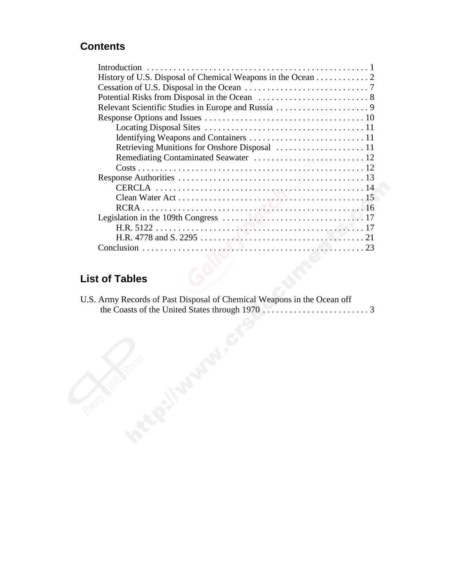# **Contents**

| History of U.S. Disposal of Chemical Weapons in the Ocean 2 |
|-------------------------------------------------------------|
|                                                             |
|                                                             |
|                                                             |
|                                                             |
|                                                             |
|                                                             |
| Retrieving Munitions for Onshore Disposal  11               |
|                                                             |
|                                                             |
|                                                             |
|                                                             |
|                                                             |
|                                                             |
|                                                             |
|                                                             |
|                                                             |
|                                                             |

# **List of Tables**

| U.S. Army Records of Past Disposal of Chemical Weapons in the Ocean off |  |
|-------------------------------------------------------------------------|--|
|                                                                         |  |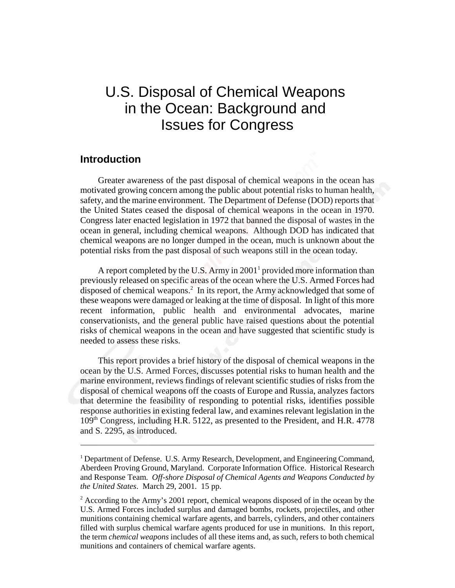# U.S. Disposal of Chemical Weapons in the Ocean: Background and Issues for Congress

# **Introduction**

Greater awareness of the past disposal of chemical weapons in the ocean has motivated growing concern among the public about potential risks to human health, safety, and the marine environment. The Department of Defense (DOD) reports that the United States ceased the disposal of chemical weapons in the ocean in 1970. Congress later enacted legislation in 1972 that banned the disposal of wastes in the ocean in general, including chemical weapons. Although DOD has indicated that chemical weapons are no longer dumped in the ocean, much is unknown about the potential risks from the past disposal of such weapons still in the ocean today.

A report completed by the U.S. Army in  $2001<sup>1</sup>$  provided more information than previously released on specific areas of the ocean where the U.S. Armed Forces had disposed of chemical weapons.<sup>2</sup> In its report, the Army acknowledged that some of these weapons were damaged or leaking at the time of disposal. In light of this more recent information, public health and environmental advocates, marine conservationists, and the general public have raised questions about the potential risks of chemical weapons in the ocean and have suggested that scientific study is needed to assess these risks.

This report provides a brief history of the disposal of chemical weapons in the ocean by the U.S. Armed Forces, discusses potential risks to human health and the marine environment, reviews findings of relevant scientific studies of risks from the disposal of chemical weapons off the coasts of Europe and Russia, analyzes factors that determine the feasibility of responding to potential risks, identifies possible response authorities in existing federal law, and examines relevant legislation in the 109th Congress, including H.R. 5122, as presented to the President, and H.R. 4778 and S. 2295, as introduced.

<sup>&</sup>lt;sup>1</sup> Department of Defense. U.S. Army Research, Development, and Engineering Command, Aberdeen Proving Ground, Maryland. Corporate Information Office. Historical Research and Response Team. *Off-shore Disposal of Chemical Agents and Weapons Conducted by the United States*. March 29, 2001. 15 pp.

 $2$  According to the Army's 2001 report, chemical weapons disposed of in the ocean by the U.S. Armed Forces included surplus and damaged bombs, rockets, projectiles, and other munitions containing chemical warfare agents, and barrels, cylinders, and other containers filled with surplus chemical warfare agents produced for use in munitions. In this report, the term *chemical weapons* includes of all these items and, as such, refers to both chemical munitions and containers of chemical warfare agents.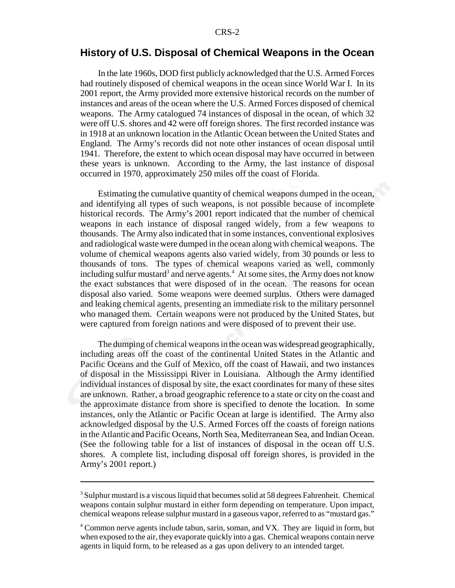# **History of U.S. Disposal of Chemical Weapons in the Ocean**

In the late 1960s, DOD first publicly acknowledged that the U.S. Armed Forces had routinely disposed of chemical weapons in the ocean since World War I. In its 2001 report, the Army provided more extensive historical records on the number of instances and areas of the ocean where the U.S. Armed Forces disposed of chemical weapons. The Army catalogued 74 instances of disposal in the ocean, of which 32 were off U.S. shores and 42 were off foreign shores. The first recorded instance was in 1918 at an unknown location in the Atlantic Ocean between the United States and England. The Army's records did not note other instances of ocean disposal until 1941. Therefore, the extent to which ocean disposal may have occurred in between these years is unknown. According to the Army, the last instance of disposal occurred in 1970, approximately 250 miles off the coast of Florida.

Estimating the cumulative quantity of chemical weapons dumped in the ocean, and identifying all types of such weapons, is not possible because of incomplete historical records. The Army's 2001 report indicated that the number of chemical weapons in each instance of disposal ranged widely, from a few weapons to thousands. The Army also indicated that in some instances, conventional explosives and radiological waste were dumped in the ocean along with chemical weapons. The volume of chemical weapons agents also varied widely, from 30 pounds or less to thousands of tons. The types of chemical weapons varied as well, commonly including sulfur mustard<sup>3</sup> and nerve agents.<sup>4</sup> At some sites, the Army does not know the exact substances that were disposed of in the ocean. The reasons for ocean disposal also varied. Some weapons were deemed surplus. Others were damaged and leaking chemical agents, presenting an immediate risk to the military personnel who managed them. Certain weapons were not produced by the United States, but were captured from foreign nations and were disposed of to prevent their use.

The dumping of chemical weapons in the ocean was widespread geographically, including areas off the coast of the continental United States in the Atlantic and Pacific Oceans and the Gulf of Mexico, off the coast of Hawaii, and two instances of disposal in the Mississippi River in Louisiana. Although the Army identified individual instances of disposal by site, the exact coordinates for many of these sites are unknown. Rather, a broad geographic reference to a state or city on the coast and the approximate distance from shore is specified to denote the location. In some instances, only the Atlantic or Pacific Ocean at large is identified. The Army also acknowledged disposal by the U.S. Armed Forces off the coasts of foreign nations in the Atlantic and Pacific Oceans, North Sea, Mediterranean Sea, and Indian Ocean. (See the following table for a list of instances of disposal in the ocean off U.S. shores. A complete list, including disposal off foreign shores, is provided in the Army's 2001 report.)

 $3$  Sulphur mustard is a viscous liquid that becomes solid at 58 degrees Fahrenheit. Chemical weapons contain sulphur mustard in either form depending on temperature. Upon impact, chemical weapons release sulphur mustard in a gaseous vapor, referred to as "mustard gas."

<sup>&</sup>lt;sup>4</sup> Common nerve agents include tabun, sarin, soman, and VX. They are liquid in form, but when exposed to the air, they evaporate quickly into a gas. Chemical weapons contain nerve agents in liquid form, to be released as a gas upon delivery to an intended target.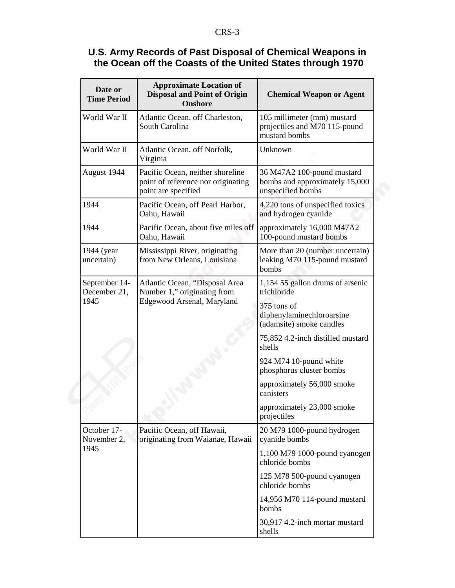# **U.S. Army Records of Past Disposal of Chemical Weapons in the Ocean off the Coasts of the United States through 1970**

| Date or<br><b>Time Period</b>         | <b>Approximate Location of</b><br><b>Disposal and Point of Origin</b><br><b>Onshore</b>       | <b>Chemical Weapon or Agent</b>                                                   |
|---------------------------------------|-----------------------------------------------------------------------------------------------|-----------------------------------------------------------------------------------|
| World War II                          | Atlantic Ocean, off Charleston,<br>South Carolina                                             | 105 millimeter (mm) mustard<br>projectiles and M70 115-pound<br>mustard bombs     |
| World War II                          | Atlantic Ocean, off Norfolk,<br>Virginia                                                      | Unknown                                                                           |
| August 1944                           | Pacific Ocean, neither shoreline<br>point of reference nor originating<br>point are specified | 36 M47A2 100-pound mustard<br>bombs and approximately 15,000<br>unspecified bombs |
| 1944                                  | Pacific Ocean, off Pearl Harbor,<br>Oahu, Hawaii                                              | 4,220 tons of unspecified toxics<br>and hydrogen cyanide                          |
| 1944                                  | Pacific Ocean, about five miles off<br>Oahu, Hawaii                                           | approximately 16,000 M47A2<br>100-pound mustard bombs                             |
| 1944 (year<br>uncertain)              | Mississippi River, originating<br>from New Orleans, Louisiana                                 | More than 20 (number uncertain)<br>leaking M70 115-pound mustard<br>bombs         |
| September 14-<br>December 21,<br>1945 | Atlantic Ocean, "Disposal Area<br>Number 1," originating from<br>Edgewood Arsenal, Maryland   | 1,154 55 gallon drums of arsenic<br>trichloride                                   |
|                                       |                                                                                               | 375 tons of<br>diphenylaminechloroarsine<br>(adamsite) smoke candles              |
|                                       |                                                                                               | 75,852 4.2-inch distilled mustard<br>shells                                       |
|                                       |                                                                                               | 924 M74 10-pound white<br>phosphorus cluster bombs                                |
|                                       |                                                                                               | approximately 56,000 smoke<br>canisters                                           |
|                                       |                                                                                               | approximately 23,000 smoke<br>projectiles                                         |
| October 17-<br>November 2,<br>1945    | Pacific Ocean, off Hawaii,<br>originating from Waianae, Hawaii                                | 20 M79 1000-pound hydrogen<br>cyanide bombs                                       |
|                                       |                                                                                               | 1,100 M79 1000-pound cyanogen<br>chloride bombs                                   |
|                                       |                                                                                               | 125 M78 500-pound cyanogen<br>chloride bombs                                      |
|                                       |                                                                                               | 14,956 M70 114-pound mustard<br>bombs                                             |
|                                       |                                                                                               | 30,917 4.2-inch mortar mustard<br>shells                                          |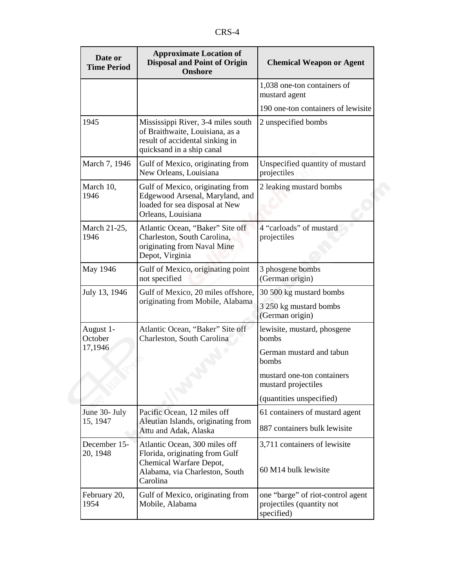| Date or<br><b>Time Period</b>   | <b>Approximate Location of</b><br><b>Disposal and Point of Origin</b><br><b>Onshore</b>                                                  | <b>Chemical Weapon or Agent</b>                                              |
|---------------------------------|------------------------------------------------------------------------------------------------------------------------------------------|------------------------------------------------------------------------------|
|                                 |                                                                                                                                          | 1,038 one-ton containers of<br>mustard agent                                 |
|                                 |                                                                                                                                          | 190 one-ton containers of lewisite                                           |
| 1945                            | Mississippi River, 3-4 miles south<br>of Braithwaite, Louisiana, as a<br>result of accidental sinking in<br>quicksand in a ship canal    | 2 unspecified bombs                                                          |
| March 7, 1946                   | Gulf of Mexico, originating from<br>New Orleans, Louisiana                                                                               | Unspecified quantity of mustard<br>projectiles                               |
| March 10,<br>1946               | Gulf of Mexico, originating from<br>Edgewood Arsenal, Maryland, and<br>loaded for sea disposal at New<br>Orleans, Louisiana              | 2 leaking mustard bombs                                                      |
| March 21-25,<br>1946            | Atlantic Ocean, "Baker" Site off<br>Charleston, South Carolina,<br>originating from Naval Mine<br>Depot, Virginia                        | 4 "carloads" of mustard<br>projectiles                                       |
| May 1946                        | Gulf of Mexico, originating point<br>not specified                                                                                       | 3 phosgene bombs<br>(German origin)                                          |
| July 13, 1946                   | Gulf of Mexico, 20 miles offshore,<br>originating from Mobile, Alabama                                                                   | 30 500 kg mustard bombs                                                      |
|                                 |                                                                                                                                          | 3 250 kg mustard bombs<br>(German origin)                                    |
| August 1-<br>October<br>17,1946 | Atlantic Ocean, "Baker" Site off<br>Charleston, South Carolina                                                                           | lewisite, mustard, phosgene<br>bombs                                         |
|                                 |                                                                                                                                          | German mustard and tabun<br>bombs                                            |
|                                 |                                                                                                                                          | mustard one-ton containers<br>mustard projectiles                            |
|                                 |                                                                                                                                          | (quantities unspecified)                                                     |
| June 30- July                   | Pacific Ocean, 12 miles off                                                                                                              | 61 containers of mustard agent                                               |
| 15, 1947                        | Aleutian Islands, originating from<br>Attu and Adak, Alaska                                                                              | 887 containers bulk lewisite                                                 |
| December 15-<br>20, 1948        | Atlantic Ocean, 300 miles off<br>Florida, originating from Gulf<br>Chemical Warfare Depot,<br>Alabama, via Charleston, South<br>Carolina | 3,711 containers of lewisite<br>60 M14 bulk lewisite                         |
| February 20,<br>1954            | Gulf of Mexico, originating from<br>Mobile, Alabama                                                                                      | one "barge" of riot-control agent<br>projectiles (quantity not<br>specified) |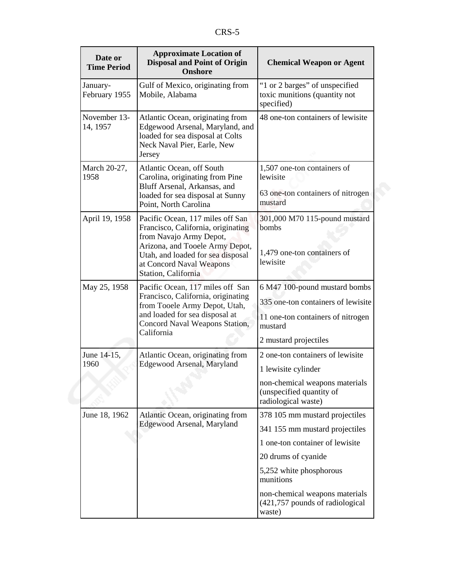| Date or<br><b>Time Period</b> | <b>Approximate Location of</b><br><b>Disposal and Point of Origin</b><br><b>Onshore</b>                                                                                                                                      | <b>Chemical Weapon or Agent</b>                                                                                                                                                                                                                   |
|-------------------------------|------------------------------------------------------------------------------------------------------------------------------------------------------------------------------------------------------------------------------|---------------------------------------------------------------------------------------------------------------------------------------------------------------------------------------------------------------------------------------------------|
| January-<br>February 1955     | Gulf of Mexico, originating from<br>Mobile, Alabama                                                                                                                                                                          | "1 or 2 barges" of unspecified<br>toxic munitions (quantity not<br>specified)                                                                                                                                                                     |
| November 13-<br>14, 1957      | Atlantic Ocean, originating from<br>Edgewood Arsenal, Maryland, and<br>loaded for sea disposal at Colts<br>Neck Naval Pier, Earle, New<br>Jersey                                                                             | 48 one-ton containers of lewisite                                                                                                                                                                                                                 |
| March 20-27,<br>1958          | Atlantic Ocean, off South<br>Carolina, originating from Pine<br>Bluff Arsenal, Arkansas, and<br>loaded for sea disposal at Sunny<br>Point, North Carolina                                                                    | 1,507 one-ton containers of<br>lewisite<br>63 one-ton containers of nitrogen<br>mustard                                                                                                                                                           |
| April 19, 1958                | Pacific Ocean, 117 miles off San<br>Francisco, California, originating<br>from Navajo Army Depot,<br>Arizona, and Tooele Army Depot,<br>Utah, and loaded for sea disposal<br>at Concord Naval Weapons<br>Station, California | 301,000 M70 115-pound mustard<br>bombs<br>1,479 one-ton containers of<br>lewisite                                                                                                                                                                 |
| May 25, 1958                  | Pacific Ocean, 117 miles off San<br>Francisco, California, originating<br>from Tooele Army Depot, Utah,<br>and loaded for sea disposal at<br>Concord Naval Weapons Station,<br>California                                    | 6 M47 100-pound mustard bombs<br>335 one-ton containers of lewisite<br>11 one-ton containers of nitrogen<br>mustard<br>2 mustard projectiles                                                                                                      |
| June 14-15,<br>1960           | Atlantic Ocean, originating from<br>Edgewood Arsenal, Maryland                                                                                                                                                               | 2 one-ton containers of lewisite<br>1 lewisite cylinder<br>non-chemical weapons materials<br>(unspecified quantity of<br>radiological waste)                                                                                                      |
| June 18, 1962                 | Atlantic Ocean, originating from<br>Edgewood Arsenal, Maryland                                                                                                                                                               | 378 105 mm mustard projectiles<br>341 155 mm mustard projectiles<br>1 one-ton container of lewisite<br>20 drums of cyanide<br>5,252 white phosphorous<br>munitions<br>non-chemical weapons materials<br>(421,757 pounds of radiological<br>waste) |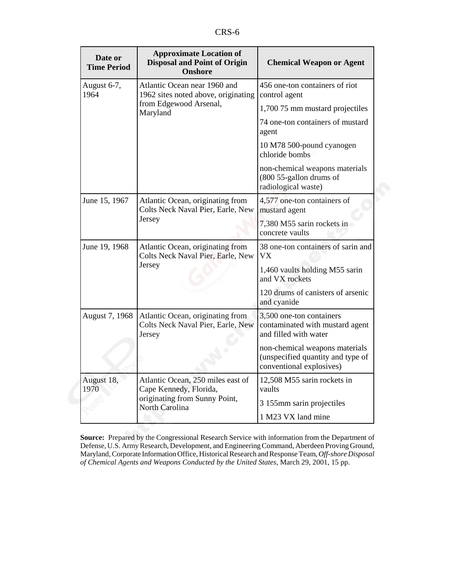| Date or<br><b>Time Period</b> | <b>Approximate Location of</b><br><b>Disposal and Point of Origin</b><br><b>Onshore</b>                        | <b>Chemical Weapon or Agent</b>                                                                 |
|-------------------------------|----------------------------------------------------------------------------------------------------------------|-------------------------------------------------------------------------------------------------|
| August 6-7,<br>1964           | Atlantic Ocean near 1960 and<br>1962 sites noted above, originating<br>from Edgewood Arsenal,<br>Maryland      | 456 one-ton containers of riot<br>control agent                                                 |
|                               |                                                                                                                | 1,700 75 mm mustard projectiles                                                                 |
|                               |                                                                                                                | 74 one-ton containers of mustard<br>agent                                                       |
|                               |                                                                                                                | 10 M78 500-pound cyanogen<br>chloride bombs                                                     |
|                               |                                                                                                                | non-chemical weapons materials<br>(800 55-gallon drums of<br>radiological waste)                |
| June 15, 1967                 | Atlantic Ocean, originating from<br>Colts Neck Naval Pier, Earle, New<br>Jersey                                | 4,577 one-ton containers of<br>mustard agent                                                    |
|                               |                                                                                                                | 7,380 M55 sarin rockets in<br>concrete vaults                                                   |
| June 19, 1968                 | Atlantic Ocean, originating from<br>Colts Neck Naval Pier, Earle, New<br>Jersey                                | 38 one-ton containers of sarin and<br>VX.                                                       |
|                               |                                                                                                                | 1,460 vaults holding M55 sarin<br>and VX rockets                                                |
|                               |                                                                                                                | 120 drums of canisters of arsenic<br>and cyanide                                                |
| August 7, 1968                | Atlantic Ocean, originating from<br>Colts Neck Naval Pier, Earle, New<br>Jersey                                | 3,500 one-ton containers<br>contaminated with mustard agent<br>and filled with water            |
|                               |                                                                                                                | non-chemical weapons materials<br>(unspecified quantity and type of<br>conventional explosives) |
| August 18,<br>1970            | Atlantic Ocean, 250 miles east of<br>Cape Kennedy, Florida,<br>originating from Sunny Point,<br>North Carolina | 12,508 M55 sarin rockets in<br>vaults                                                           |
|                               |                                                                                                                | 3 155mm sarin projectiles                                                                       |
|                               |                                                                                                                | 1 M23 VX land mine                                                                              |

**Source:** Prepared by the Congressional Research Service with information from the Department of Defense, U.S. Army Research, Development, and Engineering Command, Aberdeen Proving Ground, Maryland, Corporate Information Office, Historical Research and Response Team, *Off-shore Disposal of Chemical Agents and Weapons Conducted by the United States*, March 29, 2001, 15 pp.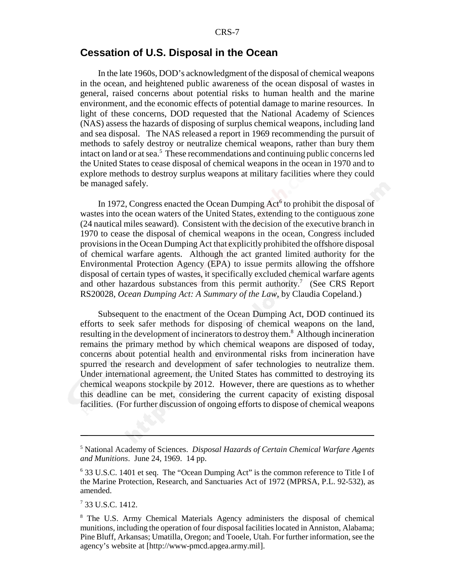# **Cessation of U.S. Disposal in the Ocean**

In the late 1960s, DOD's acknowledgment of the disposal of chemical weapons in the ocean, and heightened public awareness of the ocean disposal of wastes in general, raised concerns about potential risks to human health and the marine environment, and the economic effects of potential damage to marine resources. In light of these concerns, DOD requested that the National Academy of Sciences (NAS) assess the hazards of disposing of surplus chemical weapons, including land and sea disposal. The NAS released a report in 1969 recommending the pursuit of methods to safely destroy or neutralize chemical weapons, rather than bury them intact on land or at sea.<sup>5</sup> These recommendations and continuing public concerns led the United States to cease disposal of chemical weapons in the ocean in 1970 and to explore methods to destroy surplus weapons at military facilities where they could be managed safely.

In 1972, Congress enacted the Ocean Dumping Act<sup>6</sup> to prohibit the disposal of wastes into the ocean waters of the United States, extending to the contiguous zone (24 nautical miles seaward). Consistent with the decision of the executive branch in 1970 to cease the disposal of chemical weapons in the ocean, Congress included provisions in the Ocean Dumping Act that explicitly prohibited the offshore disposal of chemical warfare agents. Although the act granted limited authority for the Environmental Protection Agency (EPA) to issue permits allowing the offshore disposal of certain types of wastes, it specifically excluded chemical warfare agents and other hazardous substances from this permit authority.<sup>7</sup> (See CRS Report RS20028, *Ocean Dumping Act: A Summary of the Law*, by Claudia Copeland.)

Subsequent to the enactment of the Ocean Dumping Act, DOD continued its efforts to seek safer methods for disposing of chemical weapons on the land, resulting in the development of incinerators to destroy them.<sup>8</sup> Although incineration remains the primary method by which chemical weapons are disposed of today, concerns about potential health and environmental risks from incineration have spurred the research and development of safer technologies to neutralize them. Under international agreement, the United States has committed to destroying its chemical weapons stockpile by 2012. However, there are questions as to whether this deadline can be met, considering the current capacity of existing disposal facilities. (For further discussion of ongoing efforts to dispose of chemical weapons

<sup>5</sup> National Academy of Sciences. *Disposal Hazards of Certain Chemical Warfare Agents and Munitions*. June 24, 1969. 14 pp.

<sup>&</sup>lt;sup>6</sup> 33 U.S.C. 1401 et seq. The "Ocean Dumping Act" is the common reference to Title I of the Marine Protection, Research, and Sanctuaries Act of 1972 (MPRSA, P.L. 92-532), as amended.

<sup>7</sup> 33 U.S.C. 1412.

<sup>&</sup>lt;sup>8</sup> The U.S. Army Chemical Materials Agency administers the disposal of chemical munitions, including the operation of four disposal facilities located in Anniston, Alabama; Pine Bluff, Arkansas; Umatilla, Oregon; and Tooele, Utah. For further information, see the agency's website at [http://www-pmcd.apgea.army.mil].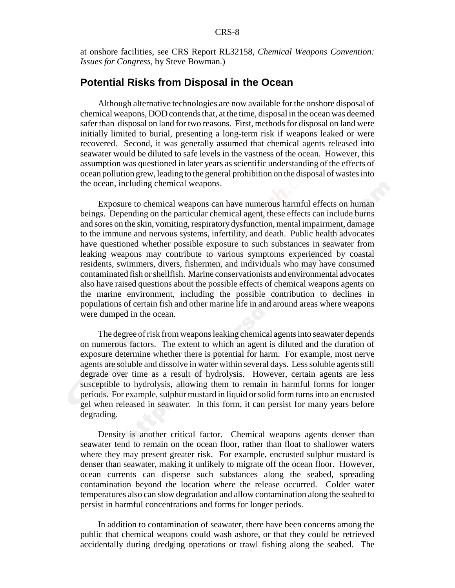at onshore facilities, see CRS Report RL32158, *Chemical Weapons Convention: Issues for Congress*, by Steve Bowman.)

# **Potential Risks from Disposal in the Ocean**

Although alternative technologies are now available for the onshore disposal of chemical weapons, DOD contends that, at the time, disposal in the ocean was deemed safer than disposal on land for two reasons. First, methods for disposal on land were initially limited to burial, presenting a long-term risk if weapons leaked or were recovered. Second, it was generally assumed that chemical agents released into seawater would be diluted to safe levels in the vastness of the ocean. However, this assumption was questioned in later years as scientific understanding of the effects of ocean pollution grew, leading to the general prohibition on the disposal of wastes into the ocean, including chemical weapons.

Exposure to chemical weapons can have numerous harmful effects on human beings. Depending on the particular chemical agent, these effects can include burns and sores on the skin, vomiting, respiratory dysfunction, mental impairment, damage to the immune and nervous systems, infertility, and death. Public health advocates have questioned whether possible exposure to such substances in seawater from leaking weapons may contribute to various symptoms experienced by coastal residents, swimmers, divers, fishermen, and individuals who may have consumed contaminated fish or shellfish. Marine conservationists and environmental advocates also have raised questions about the possible effects of chemical weapons agents on the marine environment, including the possible contribution to declines in populations of certain fish and other marine life in and around areas where weapons were dumped in the ocean.

The degree of risk from weapons leaking chemical agents into seawater depends on numerous factors. The extent to which an agent is diluted and the duration of exposure determine whether there is potential for harm. For example, most nerve agents are soluble and dissolve in water within several days. Less soluble agents still degrade over time as a result of hydrolysis. However, certain agents are less susceptible to hydrolysis, allowing them to remain in harmful forms for longer periods. For example, sulphur mustard in liquid or solid form turns into an encrusted gel when released in seawater. In this form, it can persist for many years before degrading.

Density is another critical factor. Chemical weapons agents denser than seawater tend to remain on the ocean floor, rather than float to shallower waters where they may present greater risk. For example, encrusted sulphur mustard is denser than seawater, making it unlikely to migrate off the ocean floor. However, ocean currents can disperse such substances along the seabed, spreading contamination beyond the location where the release occurred. Colder water temperatures also can slow degradation and allow contamination along the seabed to persist in harmful concentrations and forms for longer periods.

In addition to contamination of seawater, there have been concerns among the public that chemical weapons could wash ashore, or that they could be retrieved accidentally during dredging operations or trawl fishing along the seabed. The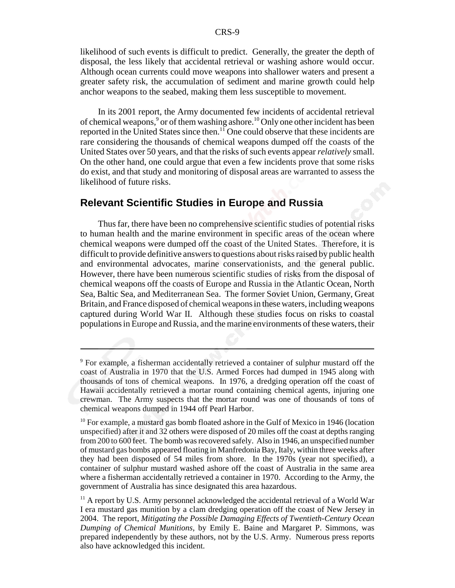likelihood of such events is difficult to predict. Generally, the greater the depth of disposal, the less likely that accidental retrieval or washing ashore would occur. Although ocean currents could move weapons into shallower waters and present a greater safety risk, the accumulation of sediment and marine growth could help anchor weapons to the seabed, making them less susceptible to movement.

In its 2001 report, the Army documented few incidents of accidental retrieval of chemical weapons,<sup>9</sup> or of them washing ashore.<sup>10</sup> Only one other incident has been reported in the United States since then.<sup>11</sup> One could observe that these incidents are rare considering the thousands of chemical weapons dumped off the coasts of the United States over 50 years, and that the risks of such events appear *relatively* small. On the other hand, one could argue that even a few incidents prove that some risks do exist, and that study and monitoring of disposal areas are warranted to assess the likelihood of future risks.

# **Relevant Scientific Studies in Europe and Russia**

Thus far, there have been no comprehensive scientific studies of potential risks to human health and the marine environment in specific areas of the ocean where chemical weapons were dumped off the coast of the United States. Therefore, it is difficult to provide definitive answers to questions about risks raised by public health and environmental advocates, marine conservationists, and the general public. However, there have been numerous scientific studies of risks from the disposal of chemical weapons off the coasts of Europe and Russia in the Atlantic Ocean, North Sea, Baltic Sea, and Mediterranean Sea. The former Soviet Union, Germany, Great Britain, and France disposed of chemical weapons in these waters, including weapons captured during World War II. Although these studies focus on risks to coastal populations in Europe and Russia, and the marine environments of these waters, their

<sup>&</sup>lt;sup>9</sup> For example, a fisherman accidentally retrieved a container of sulphur mustard off the coast of Australia in 1970 that the U.S. Armed Forces had dumped in 1945 along with thousands of tons of chemical weapons. In 1976, a dredging operation off the coast of Hawaii accidentally retrieved a mortar round containing chemical agents, injuring one crewman. The Army suspects that the mortar round was one of thousands of tons of chemical weapons dumped in 1944 off Pearl Harbor.

 $10$  For example, a mustard gas bomb floated ashore in the Gulf of Mexico in 1946 (location unspecified) after it and 32 others were disposed of 20 miles off the coast at depths ranging from 200 to 600 feet. The bomb was recovered safely. Also in 1946, an unspecified number of mustard gas bombs appeared floating in Manfredonia Bay, Italy, within three weeks after they had been disposed of 54 miles from shore. In the 1970s (year not specified), a container of sulphur mustard washed ashore off the coast of Australia in the same area where a fisherman accidentally retrieved a container in 1970. According to the Army, the government of Australia has since designated this area hazardous.

 $11$  A report by U.S. Army personnel acknowledged the accidental retrieval of a World War I era mustard gas munition by a clam dredging operation off the coast of New Jersey in 2004. The report, *Mitigating the Possible Damaging Effects of Twentieth-Century Ocean Dumping of Chemical Munitions*, by Emily E. Baine and Margaret P. Simmons, was prepared independently by these authors, not by the U.S. Army. Numerous press reports also have acknowledged this incident.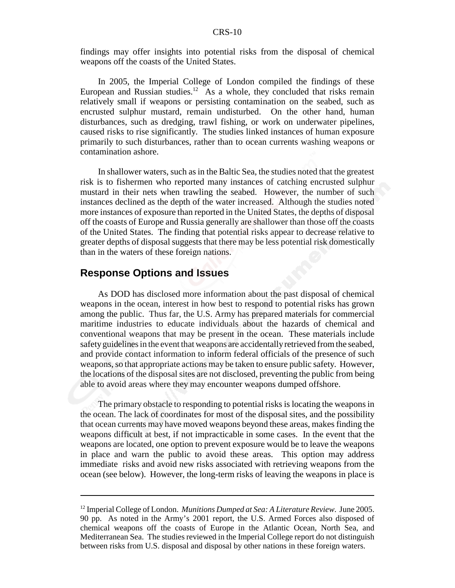findings may offer insights into potential risks from the disposal of chemical weapons off the coasts of the United States.

In 2005, the Imperial College of London compiled the findings of these European and Russian studies.<sup>12</sup> As a whole, they concluded that risks remain relatively small if weapons or persisting contamination on the seabed, such as encrusted sulphur mustard, remain undisturbed. On the other hand, human disturbances, such as dredging, trawl fishing, or work on underwater pipelines, caused risks to rise significantly. The studies linked instances of human exposure primarily to such disturbances, rather than to ocean currents washing weapons or contamination ashore.

In shallower waters, such as in the Baltic Sea, the studies noted that the greatest risk is to fishermen who reported many instances of catching encrusted sulphur mustard in their nets when trawling the seabed. However, the number of such instances declined as the depth of the water increased. Although the studies noted more instances of exposure than reported in the United States, the depths of disposal off the coasts of Europe and Russia generally are shallower than those off the coasts of the United States. The finding that potential risks appear to decrease relative to greater depths of disposal suggests that there may be less potential risk domestically than in the waters of these foreign nations.

### **Response Options and Issues**

As DOD has disclosed more information about the past disposal of chemical weapons in the ocean, interest in how best to respond to potential risks has grown among the public. Thus far, the U.S. Army has prepared materials for commercial maritime industries to educate individuals about the hazards of chemical and conventional weapons that may be present in the ocean. These materials include safety guidelines in the event that weapons are accidentally retrieved from the seabed, and provide contact information to inform federal officials of the presence of such weapons, so that appropriate actions may be taken to ensure public safety. However, the locations of the disposal sites are not disclosed, preventing the public from being able to avoid areas where they may encounter weapons dumped offshore.

The primary obstacle to responding to potential risks is locating the weapons in the ocean. The lack of coordinates for most of the disposal sites, and the possibility that ocean currents may have moved weapons beyond these areas, makes finding the weapons difficult at best, if not impracticable in some cases. In the event that the weapons are located, one option to prevent exposure would be to leave the weapons in place and warn the public to avoid these areas. This option may address immediate risks and avoid new risks associated with retrieving weapons from the ocean (see below). However, the long-term risks of leaving the weapons in place is

<sup>12</sup> Imperial College of London. *Munitions Dumped at Sea: A Literature Review*. June 2005. 90 pp. As noted in the Army's 2001 report, the U.S. Armed Forces also disposed of chemical weapons off the coasts of Europe in the Atlantic Ocean, North Sea, and Mediterranean Sea. The studies reviewed in the Imperial College report do not distinguish between risks from U.S. disposal and disposal by other nations in these foreign waters.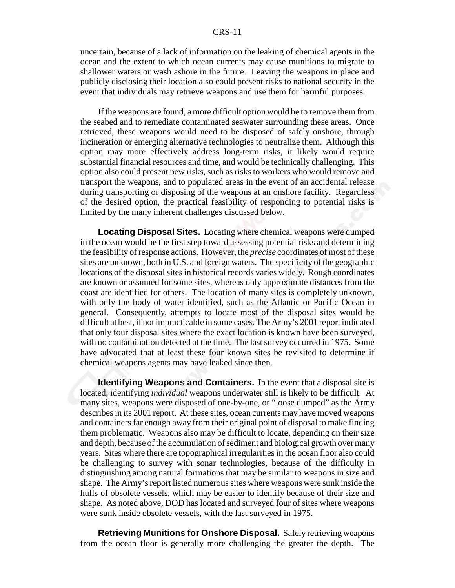uncertain, because of a lack of information on the leaking of chemical agents in the ocean and the extent to which ocean currents may cause munitions to migrate to shallower waters or wash ashore in the future. Leaving the weapons in place and publicly disclosing their location also could present risks to national security in the event that individuals may retrieve weapons and use them for harmful purposes.

If the weapons are found, a more difficult option would be to remove them from the seabed and to remediate contaminated seawater surrounding these areas. Once retrieved, these weapons would need to be disposed of safely onshore, through incineration or emerging alternative technologies to neutralize them. Although this option may more effectively address long-term risks, it likely would require substantial financial resources and time, and would be technically challenging. This option also could present new risks, such as risks to workers who would remove and transport the weapons, and to populated areas in the event of an accidental release during transporting or disposing of the weapons at an onshore facility. Regardless of the desired option, the practical feasibility of responding to potential risks is limited by the many inherent challenges discussed below.

**Locating Disposal Sites.** Locating where chemical weapons were dumped in the ocean would be the first step toward assessing potential risks and determining the feasibility of response actions. However, the *precise* coordinates of most of these sites are unknown, both in U.S. and foreign waters. The specificity of the geographic locations of the disposal sites in historical records varies widely. Rough coordinates are known or assumed for some sites, whereas only approximate distances from the coast are identified for others. The location of many sites is completely unknown, with only the body of water identified, such as the Atlantic or Pacific Ocean in general. Consequently, attempts to locate most of the disposal sites would be difficult at best, if not impracticable in some cases. The Army's 2001 report indicated that only four disposal sites where the exact location is known have been surveyed, with no contamination detected at the time. The last survey occurred in 1975. Some have advocated that at least these four known sites be revisited to determine if chemical weapons agents may have leaked since then.

**Identifying Weapons and Containers.** In the event that a disposal site is located, identifying *individual* weapons underwater still is likely to be difficult. At many sites, weapons were disposed of one-by-one, or "loose dumped" as the Army describes in its 2001 report. At these sites, ocean currents may have moved weapons and containers far enough away from their original point of disposal to make finding them problematic. Weapons also may be difficult to locate, depending on their size and depth, because of the accumulation of sediment and biological growth over many years. Sites where there are topographical irregularities in the ocean floor also could be challenging to survey with sonar technologies, because of the difficulty in distinguishing among natural formations that may be similar to weapons in size and shape. The Army's report listed numerous sites where weapons were sunk inside the hulls of obsolete vessels, which may be easier to identify because of their size and shape. As noted above, DOD has located and surveyed four of sites where weapons were sunk inside obsolete vessels, with the last surveyed in 1975.

**Retrieving Munitions for Onshore Disposal.** Safely retrieving weapons from the ocean floor is generally more challenging the greater the depth. The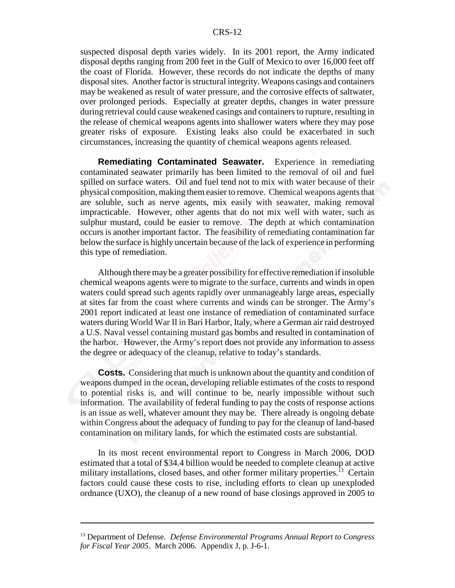suspected disposal depth varies widely. In its 2001 report, the Army indicated disposal depths ranging from 200 feet in the Gulf of Mexico to over 16,000 feet off the coast of Florida. However, these records do not indicate the depths of many disposal sites. Another factor is structural integrity. Weapons casings and containers may be weakened as result of water pressure, and the corrosive effects of saltwater, over prolonged periods. Especially at greater depths, changes in water pressure during retrieval could cause weakened casings and containers to rupture, resulting in the release of chemical weapons agents into shallower waters where they may pose greater risks of exposure. Existing leaks also could be exacerbated in such circumstances, increasing the quantity of chemical weapons agents released.

**Remediating Contaminated Seawater.** Experience in remediating contaminated seawater primarily has been limited to the removal of oil and fuel spilled on surface waters. Oil and fuel tend not to mix with water because of their physical composition, making them easier to remove. Chemical weapons agents that are soluble, such as nerve agents, mix easily with seawater, making removal impracticable. However, other agents that do not mix well with water, such as sulphur mustard, could be easier to remove. The depth at which contamination occurs is another important factor. The feasibility of remediating contamination far below the surface is highly uncertain because of the lack of experience in performing this type of remediation.

Although there may be a greater possibility for effective remediation if insoluble chemical weapons agents were to migrate to the surface, currents and winds in open waters could spread such agents rapidly over unmanageably large areas, especially at sites far from the coast where currents and winds can be stronger. The Army's 2001 report indicated at least one instance of remediation of contaminated surface waters during World War II in Bari Harbor, Italy, where a German air raid destroyed a U.S. Naval vessel containing mustard gas bombs and resulted in contamination of the harbor. However, the Army's report does not provide any information to assess the degree or adequacy of the cleanup, relative to today's standards.

**Costs.** Considering that much is unknown about the quantity and condition of weapons dumped in the ocean, developing reliable estimates of the costs to respond to potential risks is, and will continue to be, nearly impossible without such information. The availability of federal funding to pay the costs of response actions is an issue as well, whatever amount they may be. There already is ongoing debate within Congress about the adequacy of funding to pay for the cleanup of land-based contamination on military lands, for which the estimated costs are substantial.

In its most recent environmental report to Congress in March 2006, DOD estimated that a total of \$34.4 billion would be needed to complete cleanup at active military installations, closed bases, and other former military properties.<sup>13</sup> Certain factors could cause these costs to rise, including efforts to clean up unexploded ordnance (UXO), the cleanup of a new round of base closings approved in 2005 to

<sup>13</sup> Department of Defense. *Defense Environmental Programs Annual Report to Congress for Fiscal Year 2005*. March 2006. Appendix J, p. J-6-1.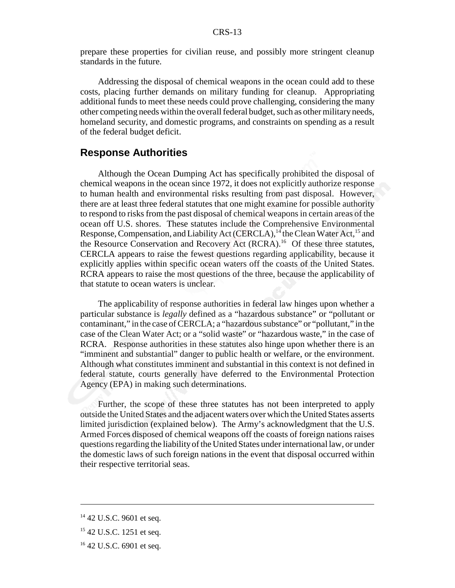prepare these properties for civilian reuse, and possibly more stringent cleanup standards in the future.

Addressing the disposal of chemical weapons in the ocean could add to these costs, placing further demands on military funding for cleanup. Appropriating additional funds to meet these needs could prove challenging, considering the many other competing needs within the overall federal budget, such as other military needs, homeland security, and domestic programs, and constraints on spending as a result of the federal budget deficit.

#### **Response Authorities**

Although the Ocean Dumping Act has specifically prohibited the disposal of chemical weapons in the ocean since 1972, it does not explicitly authorize response to human health and environmental risks resulting from past disposal. However, there are at least three federal statutes that one might examine for possible authority to respond to risks from the past disposal of chemical weapons in certain areas of the ocean off U.S. shores. These statutes include the Comprehensive Environmental Response, Compensation, and Liability Act (CERCLA),  $14$  the Clean Water Act,  $15$  and the Resource Conservation and Recovery Act (RCRA).<sup>16</sup> Of these three statutes, CERCLA appears to raise the fewest questions regarding applicability, because it explicitly applies within specific ocean waters off the coasts of the United States. RCRA appears to raise the most questions of the three, because the applicability of that statute to ocean waters is unclear.

The applicability of response authorities in federal law hinges upon whether a particular substance is *legally* defined as a "hazardous substance" or "pollutant or contaminant," in the case of CERCLA; a "hazardous substance" or "pollutant," in the case of the Clean Water Act; or a "solid waste" or "hazardous waste," in the case of RCRA. Response authorities in these statutes also hinge upon whether there is an "imminent and substantial" danger to public health or welfare, or the environment. Although what constitutes imminent and substantial in this context is not defined in federal statute, courts generally have deferred to the Environmental Protection Agency (EPA) in making such determinations.

Further, the scope of these three statutes has not been interpreted to apply outside the United States and the adjacent waters over which the United States asserts limited jurisdiction (explained below). The Army's acknowledgment that the U.S. Armed Forces disposed of chemical weapons off the coasts of foreign nations raises questions regarding the liability of the United States under international law, or under the domestic laws of such foreign nations in the event that disposal occurred within their respective territorial seas.

<sup>&</sup>lt;sup>14</sup> 42 U.S.C. 9601 et seq.

<sup>&</sup>lt;sup>15</sup> 42 U.S.C. 1251 et seq.

<sup>&</sup>lt;sup>16</sup> 42 U.S.C. 6901 et seq.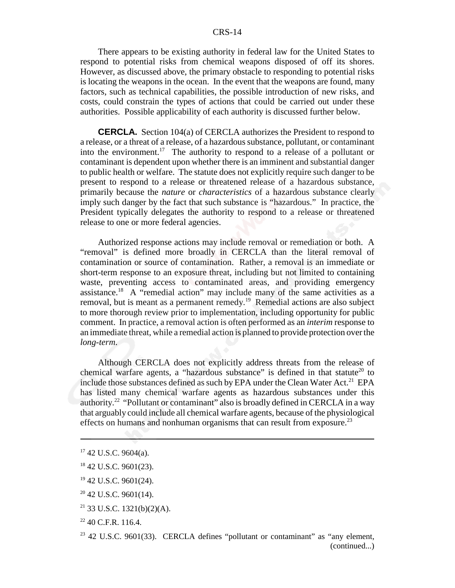There appears to be existing authority in federal law for the United States to respond to potential risks from chemical weapons disposed of off its shores. However, as discussed above, the primary obstacle to responding to potential risks is locating the weapons in the ocean. In the event that the weapons are found, many factors, such as technical capabilities, the possible introduction of new risks, and costs, could constrain the types of actions that could be carried out under these authorities. Possible applicability of each authority is discussed further below.

**CERCLA.** Section 104(a) of CERCLA authorizes the President to respond to a release, or a threat of a release, of a hazardous substance, pollutant, or contaminant into the environment.<sup>17</sup> The authority to respond to a release of a pollutant or contaminant is dependent upon whether there is an imminent and substantial danger to public health or welfare. The statute does not explicitly require such danger to be present to respond to a release or threatened release of a hazardous substance, primarily because the *nature* or *characteristics* of a hazardous substance clearly imply such danger by the fact that such substance is "hazardous." In practice, the President typically delegates the authority to respond to a release or threatened release to one or more federal agencies.

Authorized response actions may include removal or remediation or both. A "removal" is defined more broadly in CERCLA than the literal removal of contamination or source of contamination. Rather, a removal is an immediate or short-term response to an exposure threat, including but not limited to containing waste, preventing access to contaminated areas, and providing emergency assistance.<sup>18</sup> A "remedial action" may include many of the same activities as a removal, but is meant as a permanent remedy.19 Remedial actions are also subject to more thorough review prior to implementation, including opportunity for public comment. In practice, a removal action is often performed as an *interim* response to an immediate threat, while a remedial action is planned to provide protection over the *long-term*.

Although CERCLA does not explicitly address threats from the release of chemical warfare agents, a "hazardous substance" is defined in that statute<sup>20</sup> to include those substances defined as such by EPA under the Clean Water Act.<sup>21</sup> EPA has listed many chemical warfare agents as hazardous substances under this authority.22 "Pollutant or contaminant" also is broadly defined in CERCLA in a way that arguably could include all chemical warfare agents, because of the physiological effects on humans and nonhuman organisms that can result from exposure.<sup>23</sup>

- $20$  42 U.S.C. 9601(14).
- 21 33 U.S.C. 1321(b)(2)(A).
- 22 40 C.F.R. 116.4.

 $17$  42 U.S.C. 9604(a).

<sup>&</sup>lt;sup>18</sup> 42 U.S.C. 9601(23).

<sup>&</sup>lt;sup>19</sup> 42 U.S.C. 9601(24).

 $23$  42 U.S.C. 9601(33). CERCLA defines "pollutant or contaminant" as "any element, (continued...)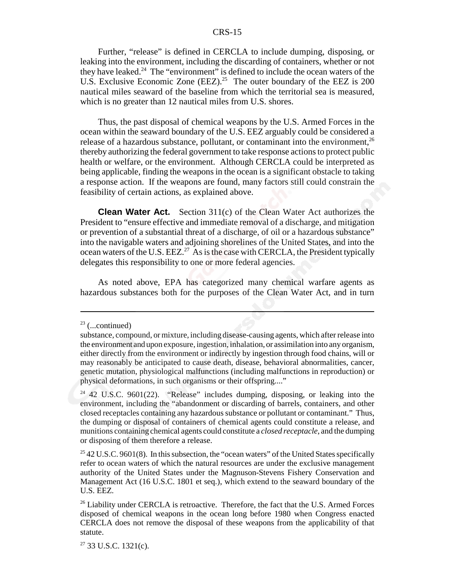Further, "release" is defined in CERCLA to include dumping, disposing, or leaking into the environment, including the discarding of containers, whether or not they have leaked.<sup>24</sup> The "environment" is defined to include the ocean waters of the U.S. Exclusive Economic Zone (EEZ).<sup>25</sup> The outer boundary of the EEZ is 200 nautical miles seaward of the baseline from which the territorial sea is measured, which is no greater than 12 nautical miles from U.S. shores.

Thus, the past disposal of chemical weapons by the U.S. Armed Forces in the ocean within the seaward boundary of the U.S. EEZ arguably could be considered a release of a hazardous substance, pollutant, or contaminant into the environment, $^{26}$ thereby authorizing the federal government to take response actions to protect public health or welfare, or the environment. Although CERCLA could be interpreted as being applicable, finding the weapons in the ocean is a significant obstacle to taking a response action. If the weapons are found, many factors still could constrain the feasibility of certain actions, as explained above.

**Clean Water Act.** Section 311(c) of the Clean Water Act authorizes the President to "ensure effective and immediate removal of a discharge, and mitigation or prevention of a substantial threat of a discharge, of oil or a hazardous substance" into the navigable waters and adjoining shorelines of the United States, and into the ocean waters of the U.S. EEZ.<sup>27</sup> As is the case with CERCLA, the President typically delegates this responsibility to one or more federal agencies.

As noted above, EPA has categorized many chemical warfare agents as hazardous substances both for the purposes of the Clean Water Act, and in turn

 $23$  (...continued)

substance, compound, or mixture, including disease-causing agents, which after release into the environment and upon exposure, ingestion, inhalation, or assimilation into any organism, either directly from the environment or indirectly by ingestion through food chains, will or may reasonably be anticipated to cause death, disease, behavioral abnormalities, cancer, genetic mutation, physiological malfunctions (including malfunctions in reproduction) or physical deformations, in such organisms or their offspring...."

<sup>24 42</sup> U.S.C. 9601(22). "Release" includes dumping, disposing, or leaking into the environment, including the "abandonment or discarding of barrels, containers, and other closed receptacles containing any hazardous substance or pollutant or contaminant." Thus, the dumping or disposal of containers of chemical agents could constitute a release, and munitions containing chemical agents could constitute a *closed receptacle*, and the dumping or disposing of them therefore a release.

<sup>&</sup>lt;sup>25</sup> 42 U.S.C. 9601(8). In this subsection, the "ocean waters" of the United States specifically refer to ocean waters of which the natural resources are under the exclusive management authority of the United States under the Magnuson-Stevens Fishery Conservation and Management Act (16 U.S.C. 1801 et seq.), which extend to the seaward boundary of the U.S. EEZ.

<sup>&</sup>lt;sup>26</sup> Liability under CERCLA is retroactive. Therefore, the fact that the U.S. Armed Forces disposed of chemical weapons in the ocean long before 1980 when Congress enacted CERCLA does not remove the disposal of these weapons from the applicability of that statute.

 $27$  33 U.S.C. 1321(c).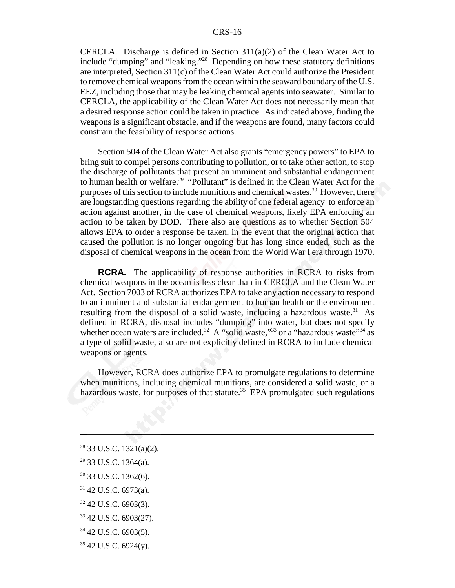CERCLA. Discharge is defined in Section 311(a)(2) of the Clean Water Act to include "dumping" and "leaking."28 Depending on how these statutory definitions are interpreted, Section 311(c) of the Clean Water Act could authorize the President to remove chemical weapons from the ocean within the seaward boundary of the U.S. EEZ, including those that may be leaking chemical agents into seawater. Similar to CERCLA, the applicability of the Clean Water Act does not necessarily mean that a desired response action could be taken in practice. As indicated above, finding the weapons is a significant obstacle, and if the weapons are found, many factors could constrain the feasibility of response actions.

Section 504 of the Clean Water Act also grants "emergency powers" to EPA to bring suit to compel persons contributing to pollution, or to take other action, to stop the discharge of pollutants that present an imminent and substantial endangerment to human health or welfare.<sup>29</sup> "Pollutant" is defined in the Clean Water Act for the purposes of this section to include munitions and chemical wastes.<sup>30</sup> However, there are longstanding questions regarding the ability of one federal agency to enforce an action against another, in the case of chemical weapons, likely EPA enforcing an action to be taken by DOD. There also are questions as to whether Section 504 allows EPA to order a response be taken, in the event that the original action that caused the pollution is no longer ongoing but has long since ended, such as the disposal of chemical weapons in the ocean from the World War I era through 1970.

**RCRA.** The applicability of response authorities in RCRA to risks from chemical weapons in the ocean is less clear than in CERCLA and the Clean Water Act. Section 7003 of RCRA authorizes EPA to take any action necessary to respond to an imminent and substantial endangerment to human health or the environment resulting from the disposal of a solid waste, including a hazardous waste.<sup>31</sup> As defined in RCRA, disposal includes "dumping" into water, but does not specify whether ocean waters are included.<sup>32</sup> A "solid waste,"<sup>33</sup> or a "hazardous waste"<sup>34</sup> as a type of solid waste, also are not explicitly defined in RCRA to include chemical weapons or agents.

However, RCRA does authorize EPA to promulgate regulations to determine when munitions, including chemical munitions, are considered a solid waste, or a hazardous waste, for purposes of that statute.<sup>35</sup> EPA promulgated such regulations

 $35$  42 U.S.C. 6924(y).

 $28$  33 U.S.C. 1321(a)(2).

 $29$  33 U.S.C. 1364(a).

<sup>30 33</sup> U.S.C. 1362(6).

 $31$  42 U.S.C. 6973(a).

<sup>32 42</sup> U.S.C. 6903(3).

<sup>33 42</sup> U.S.C. 6903(27).

 $34$  42 U.S.C. 6903(5).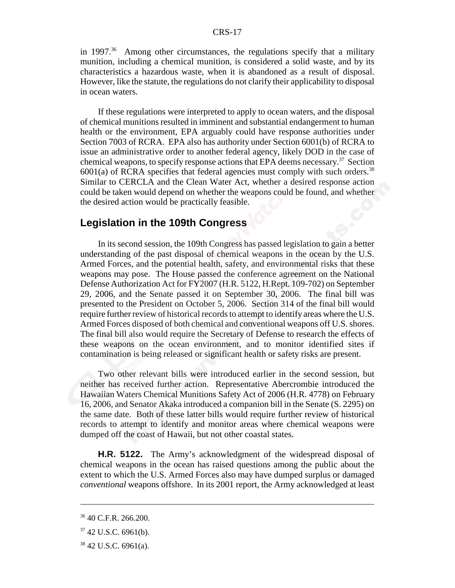in 1997.<sup>36</sup> Among other circumstances, the regulations specify that a military munition, including a chemical munition, is considered a solid waste, and by its characteristics a hazardous waste, when it is abandoned as a result of disposal. However, like the statute, the regulations do not clarify their applicability to disposal in ocean waters.

If these regulations were interpreted to apply to ocean waters, and the disposal of chemical munitions resulted in imminent and substantial endangerment to human health or the environment, EPA arguably could have response authorities under Section 7003 of RCRA. EPA also has authority under Section 6001(b) of RCRA to issue an administrative order to another federal agency, likely DOD in the case of chemical weapons, to specify response actions that EPA deems necessary.<sup>37</sup> Section  $6001(a)$  of RCRA specifies that federal agencies must comply with such orders.<sup>38</sup> Similar to CERCLA and the Clean Water Act, whether a desired response action could be taken would depend on whether the weapons could be found, and whether the desired action would be practically feasible.

### **Legislation in the 109th Congress**

In its second session, the 109th Congress has passed legislation to gain a better understanding of the past disposal of chemical weapons in the ocean by the U.S. Armed Forces, and the potential health, safety, and environmental risks that these weapons may pose. The House passed the conference agreement on the National Defense Authorization Act for FY2007 (H.R. 5122, H.Rept. 109-702) on September 29, 2006, and the Senate passed it on September 30, 2006. The final bill was presented to the President on October 5, 2006. Section 314 of the final bill would require further review of historical records to attempt to identify areas where the U.S. Armed Forces disposed of both chemical and conventional weapons off U.S. shores. The final bill also would require the Secretary of Defense to research the effects of these weapons on the ocean environment, and to monitor identified sites if contamination is being released or significant health or safety risks are present.

Two other relevant bills were introduced earlier in the second session, but neither has received further action. Representative Abercrombie introduced the Hawaiian Waters Chemical Munitions Safety Act of 2006 (H.R. 4778) on February 16, 2006, and Senator Akaka introduced a companion bill in the Senate (S. 2295) on the same date. Both of these latter bills would require further review of historical records to attempt to identify and monitor areas where chemical weapons were dumped off the coast of Hawaii, but not other coastal states.

**H.R. 5122.** The Army's acknowledgment of the widespread disposal of chemical weapons in the ocean has raised questions among the public about the extent to which the U.S. Armed Forces also may have dumped surplus or damaged *conventional* weapons offshore. In its 2001 report, the Army acknowledged at least

<sup>36 40</sup> C.F.R. 266.200.

 $37$  42 U.S.C. 6961(b).

 $38\,42\,$  U.S.C. 6961(a).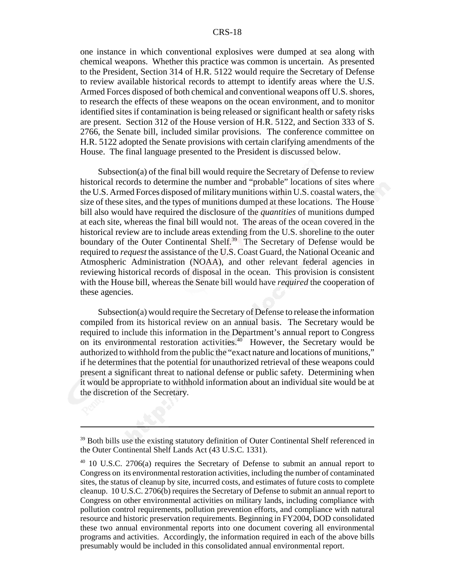one instance in which conventional explosives were dumped at sea along with chemical weapons. Whether this practice was common is uncertain. As presented to the President, Section 314 of H.R. 5122 would require the Secretary of Defense to review available historical records to attempt to identify areas where the U.S. Armed Forces disposed of both chemical and conventional weapons off U.S. shores, to research the effects of these weapons on the ocean environment, and to monitor identified sites if contamination is being released or significant health or safety risks are present. Section 312 of the House version of H.R. 5122, and Section 333 of S. 2766, the Senate bill, included similar provisions. The conference committee on H.R. 5122 adopted the Senate provisions with certain clarifying amendments of the House. The final language presented to the President is discussed below.

Subsection(a) of the final bill would require the Secretary of Defense to review historical records to determine the number and "probable" locations of sites where the U.S. Armed Forces disposed of military munitions within U.S. coastal waters, the size of these sites, and the types of munitions dumped at these locations. The House bill also would have required the disclosure of the *quantities* of munitions dumped at each site, whereas the final bill would not. The areas of the ocean covered in the historical review are to include areas extending from the U.S. shoreline to the outer boundary of the Outer Continental Shelf.<sup>39</sup> The Secretary of Defense would be required to *request* the assistance of the U.S. Coast Guard, the National Oceanic and Atmospheric Administration (NOAA), and other relevant federal agencies in reviewing historical records of disposal in the ocean. This provision is consistent with the House bill, whereas the Senate bill would have *required* the cooperation of these agencies.

Subsection(a) would require the Secretary of Defense to release the information compiled from its historical review on an annual basis. The Secretary would be required to include this information in the Department's annual report to Congress on its environmental restoration activities. $40^{\circ}$  However, the Secretary would be authorized to withhold from the public the "exact nature and locations of munitions," if he determines that the potential for unauthorized retrieval of these weapons could present a significant threat to national defense or public safety. Determining when it would be appropriate to withhold information about an individual site would be at the discretion of the Secretary.

 $39$  Both bills use the existing statutory definition of Outer Continental Shelf referenced in the Outer Continental Shelf Lands Act (43 U.S.C. 1331).

<sup>&</sup>lt;sup>40</sup> 10 U.S.C. 2706(a) requires the Secretary of Defense to submit an annual report to Congress on its environmental restoration activities, including the number of contaminated sites, the status of cleanup by site, incurred costs, and estimates of future costs to complete cleanup. 10 U.S.C. 2706(b) requires the Secretary of Defense to submit an annual report to Congress on other environmental activities on military lands, including compliance with pollution control requirements, pollution prevention efforts, and compliance with natural resource and historic preservation requirements. Beginning in FY2004, DOD consolidated these two annual environmental reports into one document covering all environmental programs and activities. Accordingly, the information required in each of the above bills presumably would be included in this consolidated annual environmental report.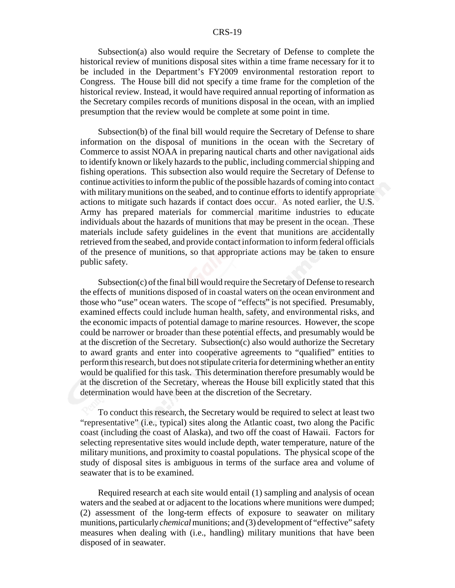Subsection(a) also would require the Secretary of Defense to complete the historical review of munitions disposal sites within a time frame necessary for it to be included in the Department's FY2009 environmental restoration report to Congress. The House bill did not specify a time frame for the completion of the historical review. Instead, it would have required annual reporting of information as the Secretary compiles records of munitions disposal in the ocean, with an implied presumption that the review would be complete at some point in time.

Subsection(b) of the final bill would require the Secretary of Defense to share information on the disposal of munitions in the ocean with the Secretary of Commerce to assist NOAA in preparing nautical charts and other navigational aids to identify known or likely hazards to the public, including commercial shipping and fishing operations. This subsection also would require the Secretary of Defense to continue activities to inform the public of the possible hazards of coming into contact with military munitions on the seabed, and to continue efforts to identify appropriate actions to mitigate such hazards if contact does occur. As noted earlier, the U.S. Army has prepared materials for commercial maritime industries to educate individuals about the hazards of munitions that may be present in the ocean. These materials include safety guidelines in the event that munitions are accidentally retrieved from the seabed, and provide contact information to inform federal officials of the presence of munitions, so that appropriate actions may be taken to ensure public safety.

Subsection(c) of the final bill would require the Secretary of Defense to research the effects of munitions disposed of in coastal waters on the ocean environment and those who "use" ocean waters. The scope of "effects" is not specified. Presumably, examined effects could include human health, safety, and environmental risks, and the economic impacts of potential damage to marine resources. However, the scope could be narrower or broader than these potential effects, and presumably would be at the discretion of the Secretary. Subsection(c) also would authorize the Secretary to award grants and enter into cooperative agreements to "qualified" entities to perform this research, but does not stipulate criteria for determining whether an entity would be qualified for this task. This determination therefore presumably would be at the discretion of the Secretary, whereas the House bill explicitly stated that this determination would have been at the discretion of the Secretary.

To conduct this research, the Secretary would be required to select at least two "representative" (i.e., typical) sites along the Atlantic coast, two along the Pacific coast (including the coast of Alaska), and two off the coast of Hawaii. Factors for selecting representative sites would include depth, water temperature, nature of the military munitions, and proximity to coastal populations. The physical scope of the study of disposal sites is ambiguous in terms of the surface area and volume of seawater that is to be examined.

Required research at each site would entail (1) sampling and analysis of ocean waters and the seabed at or adjacent to the locations where munitions were dumped; (2) assessment of the long-term effects of exposure to seawater on military munitions, particularly *chemical* munitions; and (3) development of "effective" safety measures when dealing with (i.e., handling) military munitions that have been disposed of in seawater.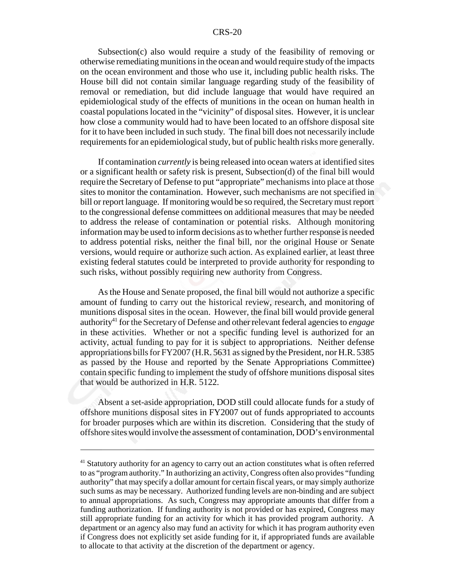Subsection(c) also would require a study of the feasibility of removing or otherwise remediating munitions in the ocean and would require study of the impacts on the ocean environment and those who use it, including public health risks. The House bill did not contain similar language regarding study of the feasibility of removal or remediation, but did include language that would have required an epidemiological study of the effects of munitions in the ocean on human health in coastal populations located in the "vicinity" of disposal sites. However, it is unclear how close a community would had to have been located to an offshore disposal site for it to have been included in such study. The final bill does not necessarily include requirements for an epidemiological study, but of public health risks more generally.

If contamination *currently* is being released into ocean waters at identified sites or a significant health or safety risk is present, Subsection(d) of the final bill would require the Secretary of Defense to put "appropriate" mechanisms into place at those sites to monitor the contamination. However, such mechanisms are not specified in bill or report language. If monitoring would be so required, the Secretary must report to the congressional defense committees on additional measures that may be needed to address the release of contamination or potential risks. Although monitoring information may be used to inform decisions as to whether further response is needed to address potential risks, neither the final bill, nor the original House or Senate versions, would require or authorize such action. As explained earlier, at least three existing federal statutes could be interpreted to provide authority for responding to such risks, without possibly requiring new authority from Congress.

As the House and Senate proposed, the final bill would not authorize a specific amount of funding to carry out the historical review, research, and monitoring of munitions disposal sites in the ocean. However, the final bill would provide general authority<sup>41</sup> for the Secretary of Defense and other relevant federal agencies to *engage* in these activities. Whether or not a specific funding level is authorized for an activity, actual funding to pay for it is subject to appropriations. Neither defense appropriations bills for FY2007 (H.R. 5631 as signed by the President, nor H.R. 5385 as passed by the House and reported by the Senate Appropriations Committee) contain specific funding to implement the study of offshore munitions disposal sites that would be authorized in H.R. 5122.

Absent a set-aside appropriation, DOD still could allocate funds for a study of offshore munitions disposal sites in FY2007 out of funds appropriated to accounts for broader purposes which are within its discretion. Considering that the study of offshore sites would involve the assessment of contamination, DOD's environmental

<sup>&</sup>lt;sup>41</sup> Statutory authority for an agency to carry out an action constitutes what is often referred to as "program authority." In authorizing an activity, Congress often also provides "funding authority" that may specify a dollar amount for certain fiscal years, or may simply authorize such sums as may be necessary. Authorized funding levels are non-binding and are subject to annual appropriations. As such, Congress may appropriate amounts that differ from a funding authorization. If funding authority is not provided or has expired, Congress may still appropriate funding for an activity for which it has provided program authority. A department or an agency also may fund an activity for which it has program authority even if Congress does not explicitly set aside funding for it, if appropriated funds are available to allocate to that activity at the discretion of the department or agency.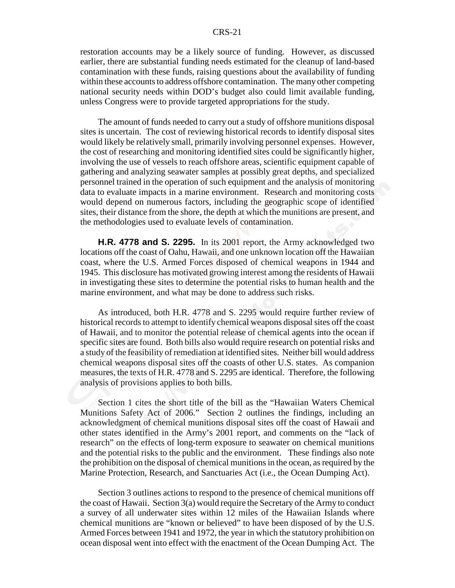restoration accounts may be a likely source of funding. However, as discussed earlier, there are substantial funding needs estimated for the cleanup of land-based contamination with these funds, raising questions about the availability of funding within these accounts to address offshore contamination. The many other competing national security needs within DOD's budget also could limit available funding, unless Congress were to provide targeted appropriations for the study.

The amount of funds needed to carry out a study of offshore munitions disposal sites is uncertain. The cost of reviewing historical records to identify disposal sites would likely be relatively small, primarily involving personnel expenses. However, the cost of researching and monitoring identified sites could be significantly higher, involving the use of vessels to reach offshore areas, scientific equipment capable of gathering and analyzing seawater samples at possibly great depths, and specialized personnel trained in the operation of such equipment and the analysis of monitoring data to evaluate impacts in a marine environment. Research and monitoring costs would depend on numerous factors, including the geographic scope of identified sites, their distance from the shore, the depth at which the munitions are present, and the methodologies used to evaluate levels of contamination.

**H.R. 4778 and S. 2295.** In its 2001 report, the Army acknowledged two locations off the coast of Oahu, Hawaii, and one unknown location off the Hawaiian coast, where the U.S. Armed Forces disposed of chemical weapons in 1944 and 1945. This disclosure has motivated growing interest among the residents of Hawaii in investigating these sites to determine the potential risks to human health and the marine environment, and what may be done to address such risks.

As introduced, both H.R. 4778 and S. 2295 would require further review of historical records to attempt to identify chemical weapons disposal sites off the coast of Hawaii, and to monitor the potential release of chemical agents into the ocean if specific sites are found. Both bills also would require research on potential risks and a study of the feasibility of remediation at identified sites. Neither bill would address chemical weapons disposal sites off the coasts of other U.S. states. As companion measures, the texts of H.R. 4778 and S. 2295 are identical. Therefore, the following analysis of provisions applies to both bills.

Section 1 cites the short title of the bill as the "Hawaiian Waters Chemical Munitions Safety Act of 2006." Section 2 outlines the findings, including an acknowledgment of chemical munitions disposal sites off the coast of Hawaii and other states identified in the Army's 2001 report, and comments on the "lack of research" on the effects of long-term exposure to seawater on chemical munitions and the potential risks to the public and the environment. These findings also note the prohibition on the disposal of chemical munitions in the ocean, as required by the Marine Protection, Research, and Sanctuaries Act (i.e., the Ocean Dumping Act).

Section 3 outlines actions to respond to the presence of chemical munitions off the coast of Hawaii. Section 3(a) would require the Secretary of the Army to conduct a survey of all underwater sites within 12 miles of the Hawaiian Islands where chemical munitions are "known or believed" to have been disposed of by the U.S. Armed Forces between 1941 and 1972, the year in which the statutory prohibition on ocean disposal went into effect with the enactment of the Ocean Dumping Act. The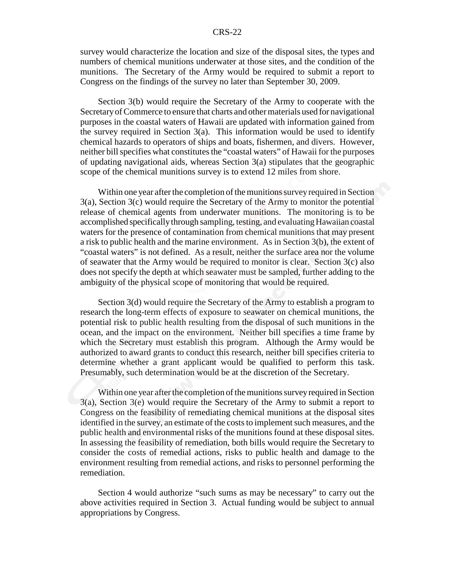survey would characterize the location and size of the disposal sites, the types and numbers of chemical munitions underwater at those sites, and the condition of the munitions. The Secretary of the Army would be required to submit a report to Congress on the findings of the survey no later than September 30, 2009.

Section 3(b) would require the Secretary of the Army to cooperate with the Secretary of Commerce to ensure that charts and other materials used for navigational purposes in the coastal waters of Hawaii are updated with information gained from the survey required in Section  $3(a)$ . This information would be used to identify chemical hazards to operators of ships and boats, fishermen, and divers. However, neither bill specifies what constitutes the "coastal waters" of Hawaii for the purposes of updating navigational aids, whereas Section 3(a) stipulates that the geographic scope of the chemical munitions survey is to extend 12 miles from shore.

Within one year after the completion of the munitions survey required in Section 3(a), Section 3(c) would require the Secretary of the Army to monitor the potential release of chemical agents from underwater munitions. The monitoring is to be accomplished specifically through sampling, testing, and evaluating Hawaiian coastal waters for the presence of contamination from chemical munitions that may present a risk to public health and the marine environment. As in Section 3(b), the extent of "coastal waters" is not defined. As a result, neither the surface area nor the volume of seawater that the Army would be required to monitor is clear. Section 3(c) also does not specify the depth at which seawater must be sampled, further adding to the ambiguity of the physical scope of monitoring that would be required.

Section 3(d) would require the Secretary of the Army to establish a program to research the long-term effects of exposure to seawater on chemical munitions, the potential risk to public health resulting from the disposal of such munitions in the ocean, and the impact on the environment. Neither bill specifies a time frame by which the Secretary must establish this program. Although the Army would be authorized to award grants to conduct this research, neither bill specifies criteria to determine whether a grant applicant would be qualified to perform this task. Presumably, such determination would be at the discretion of the Secretary.

Within one year after the completion of the munitions survey required in Section 3(a), Section 3(e) would require the Secretary of the Army to submit a report to Congress on the feasibility of remediating chemical munitions at the disposal sites identified in the survey, an estimate of the costs to implement such measures, and the public health and environmental risks of the munitions found at these disposal sites. In assessing the feasibility of remediation, both bills would require the Secretary to consider the costs of remedial actions, risks to public health and damage to the environment resulting from remedial actions, and risks to personnel performing the remediation.

Section 4 would authorize "such sums as may be necessary" to carry out the above activities required in Section 3. Actual funding would be subject to annual appropriations by Congress.